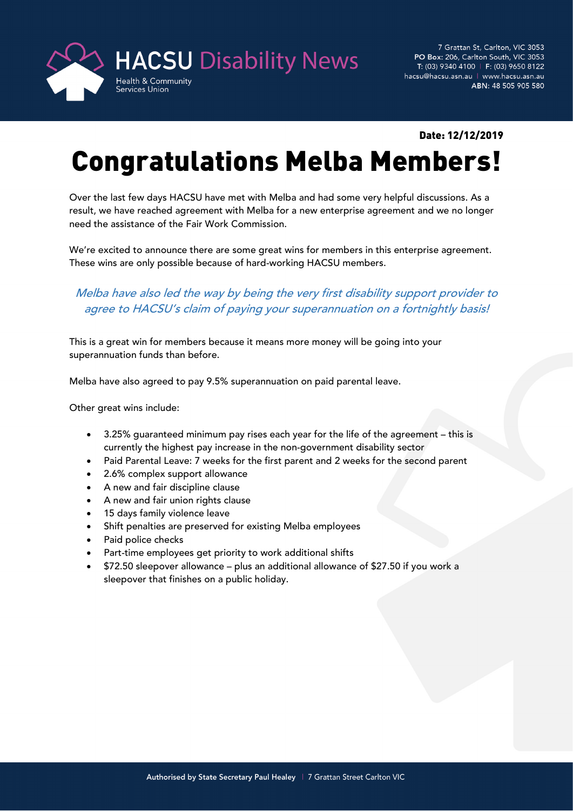

7 Grattan St, Carlton, VIC 3053 PO Box: 206, Carlton South, VIC 3053 T: (03) 9340 4100 | F: (03) 9650 8122 hacsu@hacsu.asn.au | www.hacsu.asn.au ABN: 48 505 905 580

## Date: 12/12/2019

## Congratulations Melba Members!

Over the last few days HACSU have met with Melba and had some very helpful discussions. As a result, we have reached agreement with Melba for a new enterprise agreement and we no longer need the assistance of the Fair Work Commission.

We're excited to announce there are some great wins for members in this enterprise agreement. These wins are only possible because of hard-working HACSU members.

## Melba have also led the way by being the very first disability support provider to agree to HACSU's claim of paying your superannuation on a fortnightly basis!

This is a great win for members because it means more money will be going into your superannuation funds than before.

Melba have also agreed to pay 9.5% superannuation on paid parental leave.

Other great wins include:

- 3.25% guaranteed minimum pay rises each year for the life of the agreement this is currently the highest pay increase in the non-government disability sector
- Paid Parental Leave: 7 weeks for the first parent and 2 weeks for the second parent
- 2.6% complex support allowance
- A new and fair discipline clause
- A new and fair union rights clause
- 15 days family violence leave
- Shift penalties are preserved for existing Melba employees
- Paid police checks
- Part-time employees get priority to work additional shifts
- \$72.50 sleepover allowance plus an additional allowance of \$27.50 if you work a sleepover that finishes on a public holiday.